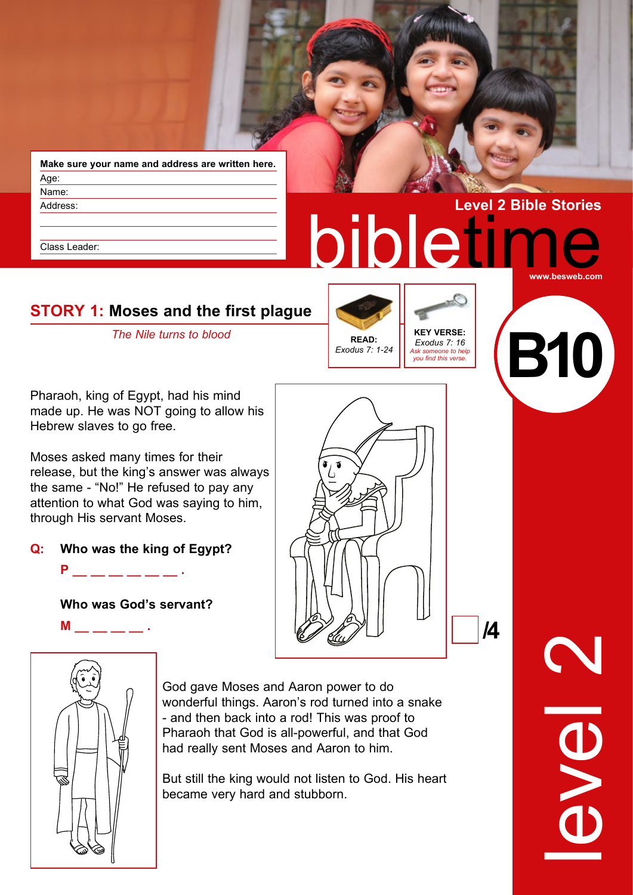**Make sure your name and address are written here.** Age: Name: Address:

Class Leader:

# bibletin **Level 2 Bible Stories www.besweb.com STORY 1: Moses and the first plague The Nile turns to blood KEY VERSE:**

*Exodus 7: 16 Ask someone to help you find this verse.*

Pharaoh, king of Egypt, had his mind made up. He was NOT going to allow his Hebrew slaves to go free.

Moses asked many times for their release, but the king's answer was always the same - "No!" He refused to pay any attention to what God was saying to him, through His servant Moses.

**Q: Who was the king of Egypt?**

**P**  $\qquad \qquad$  .

**Who was God's servant?**

**M** \_\_ \_\_ \_\_ \_\_ .



**READ:** *Exodus 7: 1-24*



God gave Moses and Aaron power to do wonderful things. Aaron's rod turned into a snake - and then back into a rod! This was proof to Pharaoh that God is all-powerful, and that God had really sent Moses and Aaron to him.

But still the king would not listen to God. His heart became very hard and stubborn.

level 2

**/4** 

**B10**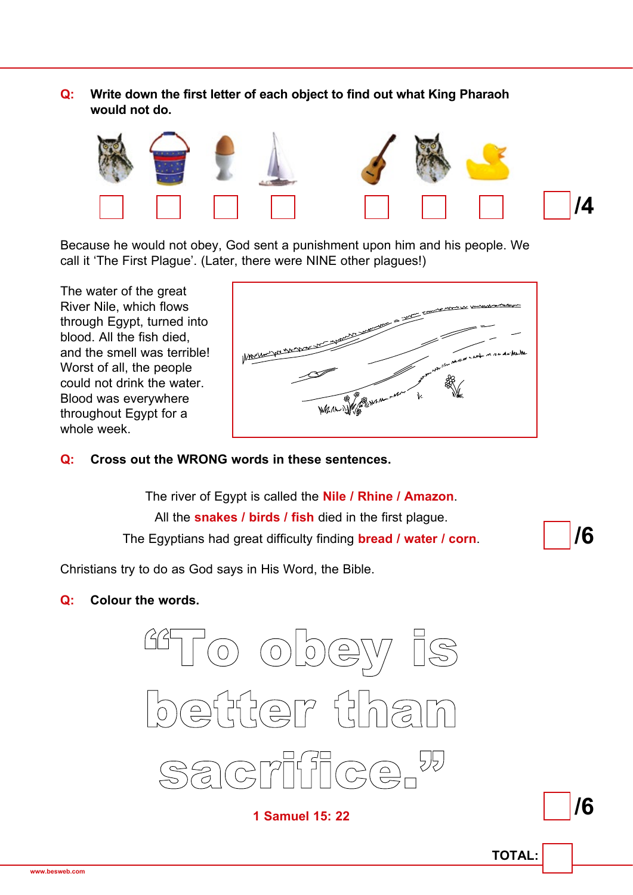**Q: Write down the first letter of each object to find out what King Pharaoh would not do.**



Because he would not obey, God sent a punishment upon him and his people. We call it 'The First Plague'. (Later, there were NINE other plagues!)

The water of the great River Nile, which flows through Egypt, turned into blood. All the fish died, and the smell was terrible! Worst of all, the people could not drink the water. Blood was everywhere throughout Egypt for a whole week.



#### **Q: Cross out the WRONG words in these sentences.**

The river of Egypt is called the **Nile / Rhine / Amazon**. All the **snakes / birds / fish** died in the first plague. The Egyptians had great difficulty finding **bread / water / corn**.

Christians try to do as God says in His Word, the Bible.

#### **Q: Colour the words.**



**1 Samuel 15: 22**

**/6**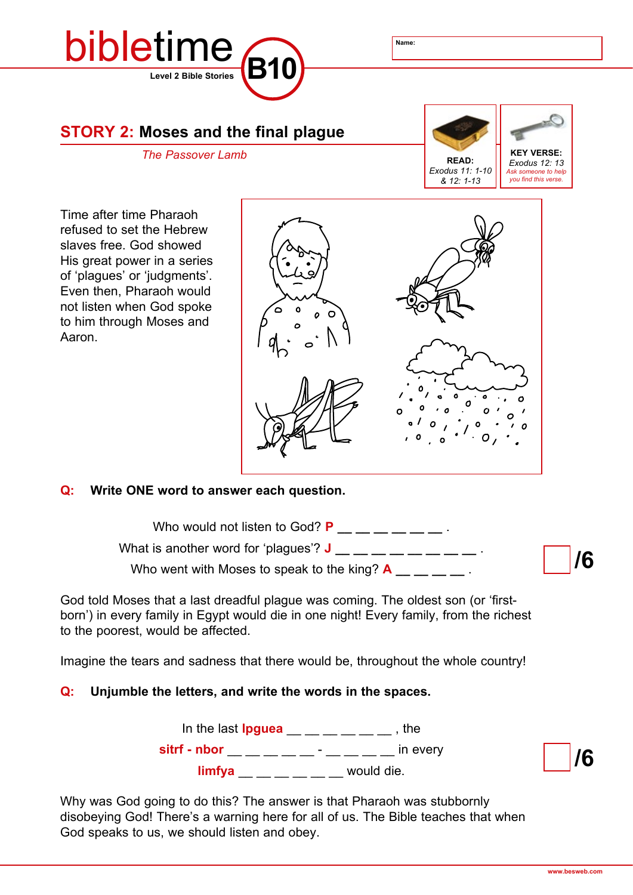

#### **STORY 2: Moses and the final plague**



Time after time Pharaoh refused to set the Hebrew slaves free. God showed His great power in a series of 'plagues' or 'judgments'. Even then, Pharaoh would not listen when God spoke to him through Moses and Aaron.



#### **Q: Write ONE word to answer each question.**

**/6**  Who would not listen to God?  $P_$  \_\_ \_ \_ \_ \_ \_ \_ What is another word for 'plagues'?  $J = -$ Who went with Moses to speak to the king?  $A_1 = 2$ .

God told Moses that a last dreadful plague was coming. The oldest son (or 'firstborn') in every family in Egypt would die in one night! Every family, from the richest to the poorest, would be affected.

Imagine the tears and sadness that there would be, throughout the whole country!

#### **Q: Unjumble the letters, and write the words in the spaces.**

In the last **lpguea** \_\_ \_\_ \_ \_ \_ \_ , the **sitrf** - nbor  $\_\_$   $\_\_$   $\_\_$   $\_\_$   $\_\_$   $\_\_$   $\_\_$   $\_\_$   $\_\_$   $\_\_$   $\_\_$   $\_\_$   $\_\_$   $\_\_$   $\_\_$   $\_\_$   $\_\_$   $\_\_$   $\_\_$   $\_\_$   $\_\_$   $\_\_$   $\_\_$   $\_\_$   $\_\_$   $\_\_$   $\_\_$   $\_\_$   $\_\_$   $\_\_$   $\_\_$   $\_\_$   $\_\_$   $\_\_$   $\$  $\lim_{x \to \infty}$   $\lim_{x \to \infty}$  would die.

Why was God going to do this? The answer is that Pharaoh was stubbornly disobeying God! There's a warning here for all of us. The Bible teaches that when God speaks to us, we should listen and obey.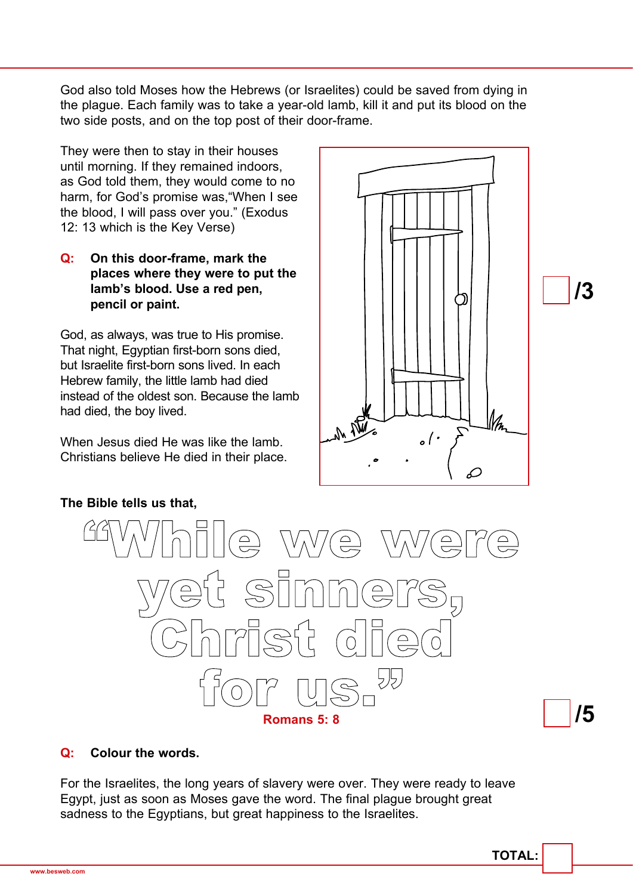God also told Moses how the Hebrews (or Israelites) could be saved from dying in the plague. Each family was to take a year-old lamb, kill it and put its blood on the two side posts, and on the top post of their door-frame.

They were then to stay in their houses until morning. If they remained indoors, as God told them, they would come to no harm, for God's promise was,"When I see the blood, I will pass over you." (Exodus 12: 13 which is the Key Verse)

#### **Q: On this door-frame, mark the places where they were to put the lamb's blood. Use a red pen, pencil or paint.**

God, as always, was true to His promise. That night, Egyptian first-born sons died, but Israelite first-born sons lived. In each Hebrew family, the little lamb had died instead of the oldest son. Because the lamb had died, the boy lived.

When Jesus died He was like the lamb. Christians believe He died in their place.





## **Q: Colour the words.**

For the Israelites, the long years of slavery were over. They were ready to leave Egypt, just as soon as Moses gave the word. The final plague brought great sadness to the Egyptians, but great happiness to the Israelites.

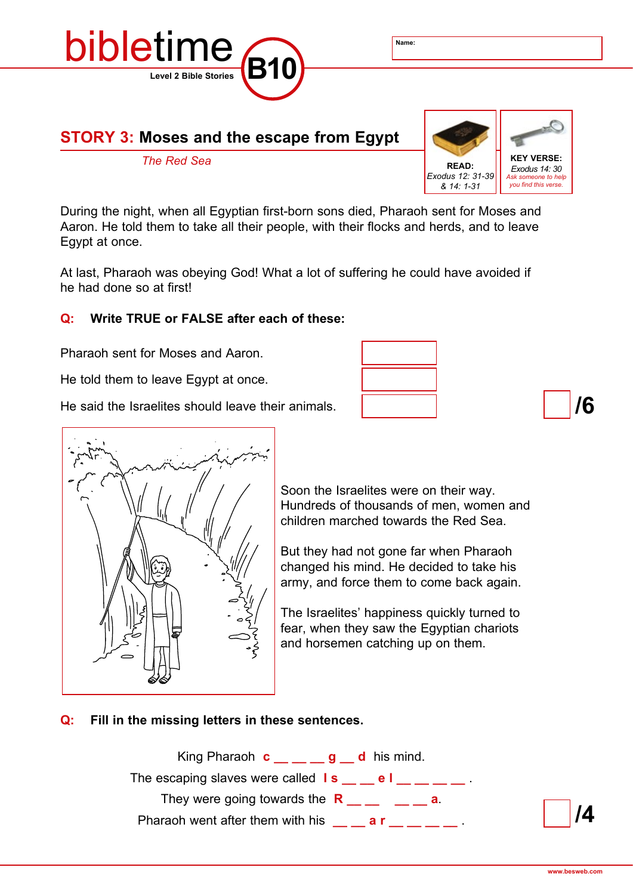

#### **STORY 3: Moses and the escape from Egypt**



During the night, when all Egyptian first-born sons died, Pharaoh sent for Moses and Aaron. He told them to take all their people, with their flocks and herds, and to leave Egypt at once.

At last, Pharaoh was obeying God! What a lot of suffering he could have avoided if he had done so at first!

#### **Q: Write TRUE or FALSE after each of these:**

Pharaoh sent for Moses and Aaron.

He told them to leave Egypt at once.

He said the Israelites should leave their animals.





Soon the Israelites were on their way. Hundreds of thousands of men, women and children marched towards the Red Sea.

But they had not gone far when Pharaoh changed his mind. He decided to take his army, and force them to come back again.

The Israelites' happiness quickly turned to fear, when they saw the Egyptian chariots and horsemen catching up on them.

#### **Q: Fill in the missing letters in these sentences.**

King Pharaoh  $c_$  \_ \_ \_ g \_ d his mind. The escaping slaves were called  $\mathbf{I} \mathbf{s} = \mathbf{I} \mathbf{s} = \mathbf{I} \mathbf{s} = \mathbf{I} \mathbf{s}$ . They were going towards the  $R_$  \_\_ \_ \_ \_ \_ a. Pharaoh went after them with his **a r** and **a .** 

**/4**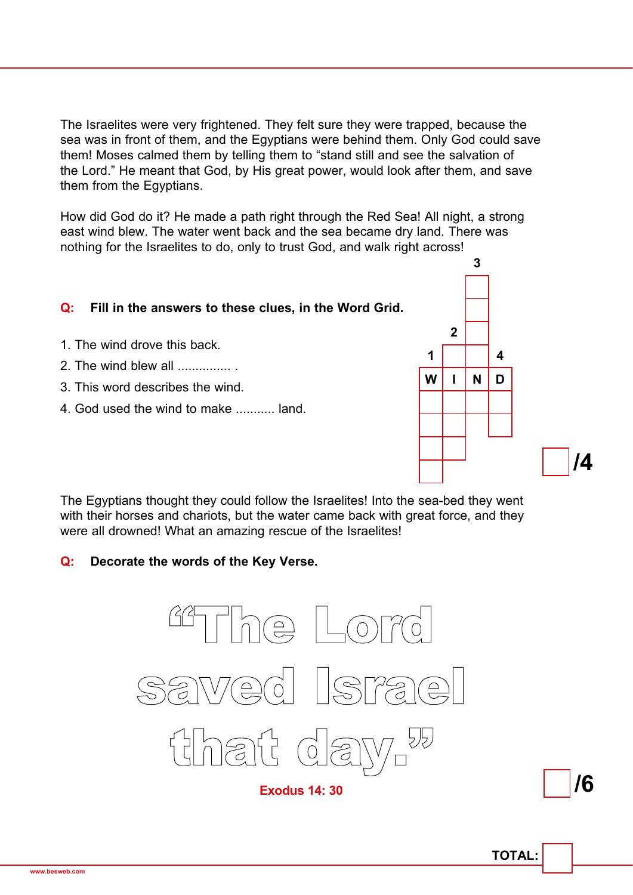The Israelites were very frightened. They felt sure they were trapped, because the sea was in front of them, and the Egyptians were behind them. Only God could save them! Moses calmed them by telling them to "stand still and see the salvation of the Lord." He meant that God, by His great power, would look after them, and save them from the Egyptians.

How did God do it? He made a path right through the Red Sea! All night, a strong east wind blew. The water went back and the sea became dry land. There was nothing for the Israelites to do, only to trust God, and walk right across!

#### **Q: Fill in the answers to these clues, in the Word Grid.**

- 1. The wind drove this back.
- 2. The wind blew all ............... .
- 3. This word describes the wind.
- 4. God used the wind to make ........... land.



The Egyptians thought they could follow the Israelites! Into the sea-bed they went with their horses and chariots, but the water came back with great force, and they were all drowned! What an amazing rescue of the Israelites!

#### **Q: Decorate the words of the Key Verse.**



**/6**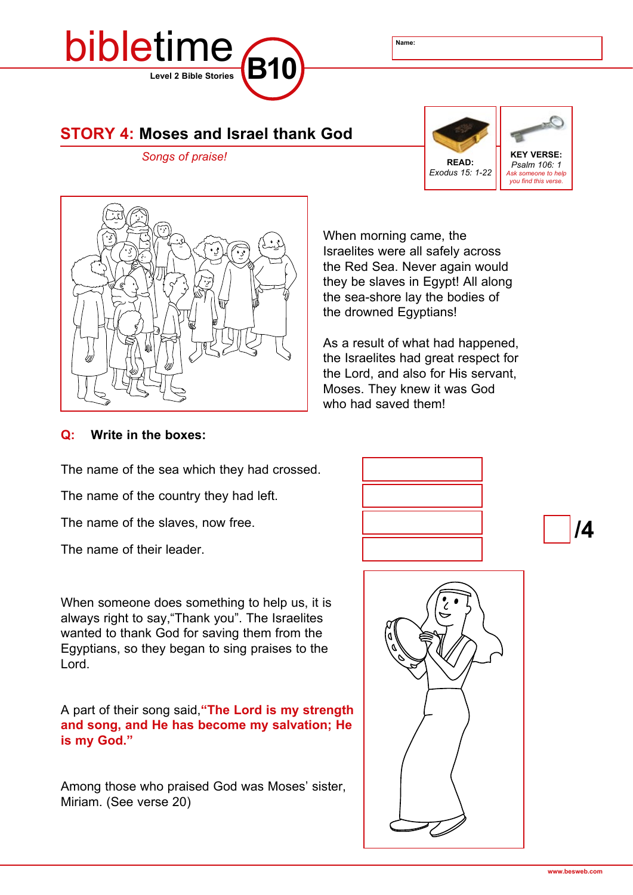

#### **STORY 4: Moses and Israel thank God**





When morning came, the Israelites were all safely across the Red Sea. Never again would they be slaves in Egypt! All along the sea-shore lay the bodies of the drowned Egyptians!

As a result of what had happened, the Israelites had great respect for the Lord, and also for His servant, Moses. They knew it was God who had saved them!

#### **Q: Write in the boxes:**

The name of the sea which they had crossed.

The name of the country they had left.

The name of the slaves, now free.

The name of their leader.

When someone does something to help us, it is always right to say,"Thank you". The Israelites wanted to thank God for saving them from the Egyptians, so they began to sing praises to the Lord.

A part of their song said,**"The Lord is my strength and song, and He has become my salvation; He is my God."**

Among those who praised God was Moses' sister, Miriam. (See verse 20)